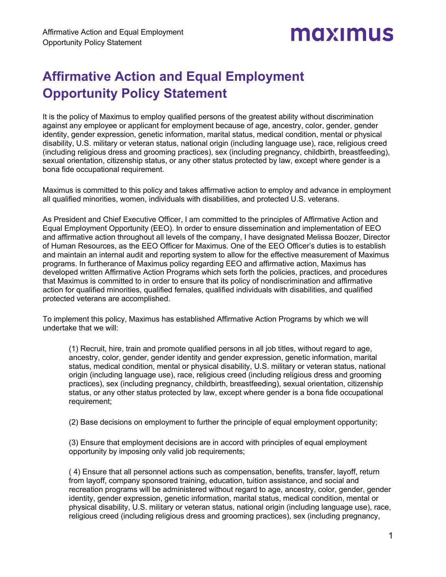

## **Affirmative Action and Equal Employment Opportunity Policy Statement**

It is the policy of Maximus to employ qualified persons of the greatest ability without discrimination against any employee or applicant for employment because of age, ancestry, color, gender, gender identity, gender expression, genetic information, marital status, medical condition, mental or physical disability, U.S. military or veteran status, national origin (including language use), race, religious creed (including religious dress and grooming practices), sex (including pregnancy, childbirth, breastfeeding), sexual orientation, citizenship status, or any other status protected by law, except where gender is a bona fide occupational requirement.

Maximus is committed to this policy and takes affirmative action to employ and advance in employment all qualified minorities, women, individuals with disabilities, and protected U.S. veterans.

As President and Chief Executive Officer, I am committed to the principles of Affirmative Action and Equal Employment Opportunity (EEO). In order to ensure dissemination and implementation of EEO and affirmative action throughout all levels of the company, I have designated Melissa Boozer, Director of Human Resources, as the EEO Officer for Maximus. One of the EEO Officer's duties is to establish and maintain an internal audit and reporting system to allow for the effective measurement of Maximus programs. In furtherance of Maximus policy regarding EEO and affirmative action, Maximus has developed written Affirmative Action Programs which sets forth the policies, practices, and procedures that Maximus is committed to in order to ensure that its policy of nondiscrimination and affirmative action for qualified minorities, qualified females, qualified individuals with disabilities, and qualified protected veterans are accomplished.

To implement this policy, Maximus has established Affirmative Action Programs by which we will undertake that we will:

(1) Recruit, hire, train and promote qualified persons in all job titles, without regard to age, ancestry, color, gender, gender identity and gender expression, genetic information, marital status, medical condition, mental or physical disability, U.S. military or veteran status, national origin (including language use), race, religious creed (including religious dress and grooming practices), sex (including pregnancy, childbirth, breastfeeding), sexual orientation, citizenship status, or any other status protected by law, except where gender is a bona fide occupational requirement;

(2) Base decisions on employment to further the principle of equal employment opportunity;

(3) Ensure that employment decisions are in accord with principles of equal employment opportunity by imposing only valid job requirements;

( 4) Ensure that all personnel actions such as compensation, benefits, transfer, layoff, return from layoff, company sponsored training, education, tuition assistance, and social and recreation programs will be administered without regard to age, ancestry, color, gender, gender identity, gender expression, genetic information, marital status, medical condition, mental or physical disability, U.S. military or veteran status, national origin (including language use), race, religious creed (including religious dress and grooming practices), sex (including pregnancy,